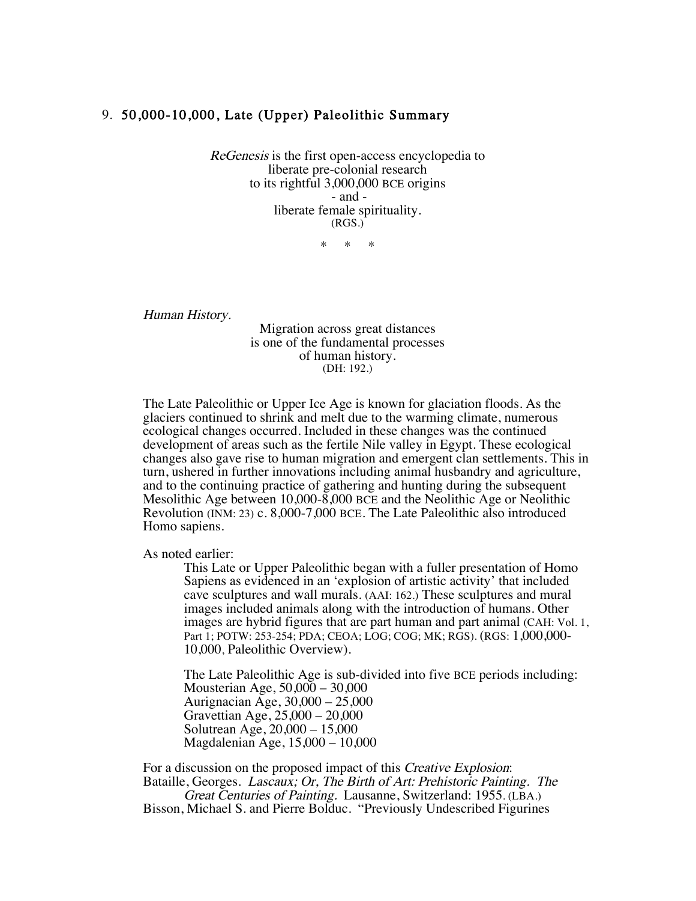## 9. 50,000-10,000, Late (Upper) Paleolithic Summary

ReGenesis is the first open-access encyclopedia to liberate pre-colonial research to its rightful 3,000,000 BCE origins - and liberate female spirituality. (RGS.)

\* \* \*

Human History.

Migration across great distances is one of the fundamental processes of human history. (DH: 192.)

The Late Paleolithic or Upper Ice Age is known for glaciation floods. As the glaciers continued to shrink and melt due to the warming climate, numerous ecological changes occurred. Included in these changes was the continued development of areas such as the fertile Nile valley in Egypt. These ecological changes also gave rise to human migration and emergent clan settlements. This in turn, ushered in further innovations including animal husbandry and agriculture, and to the continuing practice of gathering and hunting during the subsequent Mesolithic Age between 10,000-8,000 BCE and the Neolithic Age or Neolithic Revolution (INM: 23) c. 8,000-7,000 BCE. The Late Paleolithic also introduced Homo sapiens.

As noted earlier:

This Late or Upper Paleolithic began with a fuller presentation of Homo Sapiens as evidenced in an 'explosion of artistic activity' that included cave sculptures and wall murals. (AAI: 162.) These sculptures and mural images included animals along with the introduction of humans. Other images are hybrid figures that are part human and part animal (CAH: Vol. 1, Part 1; POTW: 253-254; PDA; CEOA; LOG; COG; MK; RGS). (RGS: 1,000,000- 10,000, Paleolithic Overview).

The Late Paleolithic Age is sub-divided into five BCE periods including: Mousterian Age, 50,000 – 30,000 Aurignacian Age, 30,000 – 25,000 Gravettian Age, 25,000 – 20,000 Solutrean Age, 20,000 – 15,000 Magdalenian Age, 15,000 – 10,000

For a discussion on the proposed impact of this Creative Explosion: Bataille, Georges. Lascaux; Or, The Birth of Art: Prehistoric Painting. The Great Centuries of Painting. Lausanne, Switzerland: 1955. (LBA.) Bisson, Michael S. and Pierre Bolduc. "Previously Undescribed Figurines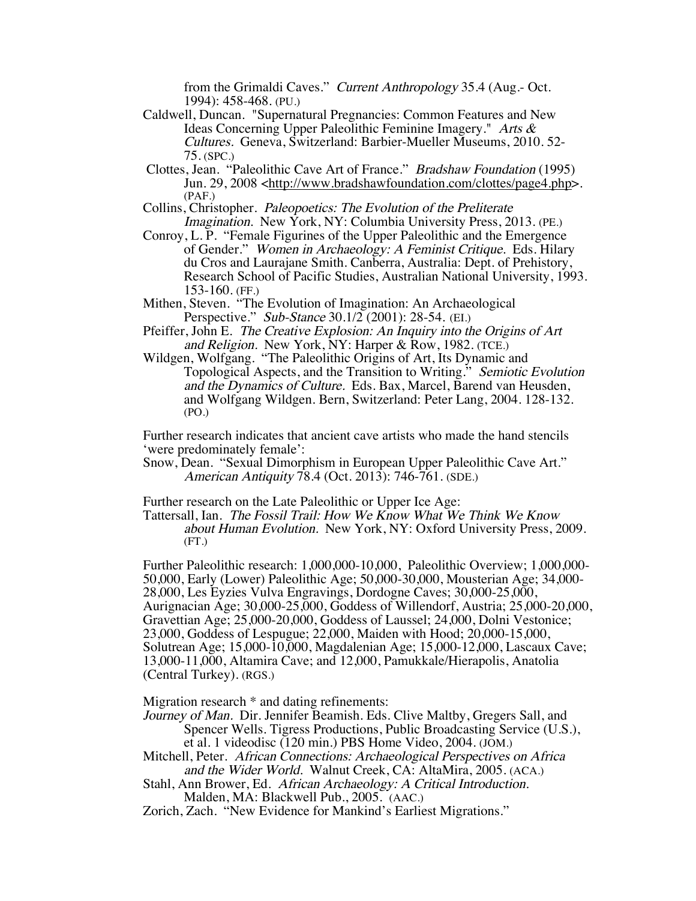from the Grimaldi Caves." Current Anthropology 35.4 (Aug.- Oct. 1994): 458-468. (PU.)

- Caldwell, Duncan. "Supernatural Pregnancies: Common Features and New Ideas Concerning Upper Paleolithic Feminine Imagery." Arts & Cultures. Geneva, Switzerland: Barbier-Mueller Museums, 2010. 52- 75. (SPC.)
- Clottes, Jean. "Paleolithic Cave Art of France." Bradshaw Foundation (1995) Jun. 29, 2008 <http://www.bradshawfoundation.com/clottes/page4.php>. (PAF.)
- Collins, Christopher. Paleopoetics: The Evolution of the Preliterate Imagination. New York, NY: Columbia University Press, 2013. (PE.)
- Conroy, L. P. "Female Figurines of the Upper Paleolithic and the Emergence of Gender." Women in Archaeology: A Feminist Critique. Eds. Hilary du Cros and Laurajane Smith. Canberra, Australia: Dept. of Prehistory, Research School of Pacific Studies, Australian National University, 1993. 153-160. (FF.)
- Mithen, Steven. "The Evolution of Imagination: An Archaeological Perspective." Sub-Stance 30.1/2 (2001): 28-54. (EI.)
- Pfeiffer, John E. The Creative Explosion: An Inquiry into the Origins of Art and Religion. New York, NY: Harper & Row, 1982. (TCE.)
- Wildgen, Wolfgang. "The Paleolithic Origins of Art, Its Dynamic and Topological Aspects, and the Transition to Writing." Semiotic Evolution and the Dynamics of Culture. Eds. Bax, Marcel, Barend van Heusden, and Wolfgang Wildgen. Bern, Switzerland: Peter Lang, 2004. 128-132. (PO.)

Further research indicates that ancient cave artists who made the hand stencils 'were predominately female':

Snow, Dean. "Sexual Dimorphism in European Upper Paleolithic Cave Art." American Antiquity 78.4 (Oct. 2013): 746-761. (SDE.)

Further research on the Late Paleolithic or Upper Ice Age:

Tattersall, Ian. The Fossil Trail: How We Know What We Think We Know about Human Evolution. New York, NY: Oxford University Press, 2009.  $(FT.)$ 

Further Paleolithic research: 1,000,000-10,000, Paleolithic Overview; 1,000,000- 50,000, Early (Lower) Paleolithic Age; 50,000-30,000, Mousterian Age; 34,000- 28,000, Les Eyzies Vulva Engravings, Dordogne Caves; 30,000-25,000, Aurignacian Age; 30,000-25,000, Goddess of Willendorf, Austria; 25,000-20,000, Gravettian Age; 25,000-20,000, Goddess of Laussel; 24,000, Dolni Vestonice; 23,000, Goddess of Lespugue; 22,000, Maiden with Hood; 20,000-15,000, Solutrean Age; 15,000-10,000, Magdalenian Age; 15,000-12,000, Lascaux Cave; 13,000-11,000, Altamira Cave; and 12,000, Pamukkale/Hierapolis, Anatolia (Central Turkey). (RGS.)

Migration research \* and dating refinements:

Journey of Man. Dir. Jennifer Beamish. Eds. Clive Maltby, Gregers Sall, and Spencer Wells. Tigress Productions, Public Broadcasting Service (U.S.),

- et al. 1 videodisc (120 min.) PBS Home Video, 2004. (JOM.)
- Mitchell, Peter. African Connections: Archaeological Perspectives on Africa and the Wider World. Walnut Creek, CA: AltaMira, 2005. (ACA.)

Stahl, Ann Brower, Ed. African Archaeology: A Critical Introduction. Malden, MA: Blackwell Pub., 2005. (AAC.)

Zorich, Zach. "New Evidence for Mankind's Earliest Migrations."